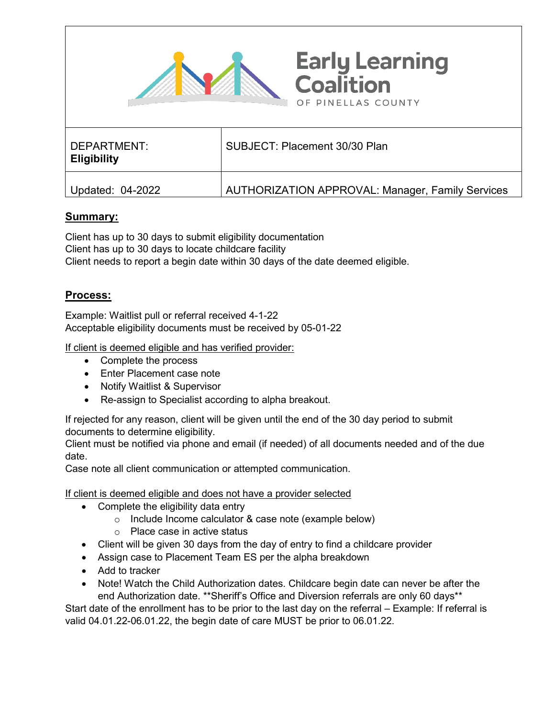

| _ _<br>Eligibility |                                                         |
|--------------------|---------------------------------------------------------|
| Updated: 04-2022   | <b>AUTHORIZATION APPROVAL: Manager, Family Services</b> |

## **Summary:**

Client has up to 30 days to submit eligibility documentation Client has up to 30 days to locate childcare facility Client needs to report a begin date within 30 days of the date deemed eligible.

## **Process:**

Example: Waitlist pull or referral received 4-1-22 Acceptable eligibility documents must be received by 05-01-22

If client is deemed eligible and has verified provider:

- Complete the process
- Enter Placement case note
- Notify Waitlist & Supervisor
- Re-assign to Specialist according to alpha breakout.

If rejected for any reason, client will be given until the end of the 30 day period to submit documents to determine eligibility.

Client must be notified via phone and email (if needed) of all documents needed and of the due date.

Case note all client communication or attempted communication.

If client is deemed eligible and does not have a provider selected

- Complete the eligibility data entry
	- o Include Income calculator & case note (example below)
	- o Place case in active status
- Client will be given 30 days from the day of entry to find a childcare provider
- Assign case to Placement Team ES per the alpha breakdown
- Add to tracker
- Note! Watch the Child Authorization dates. Childcare begin date can never be after the end Authorization date. \*\*Sheriff's Office and Diversion referrals are only 60 days\*\*

Start date of the enrollment has to be prior to the last day on the referral – Example: If referral is valid 04.01.22-06.01.22, the begin date of care MUST be prior to 06.01.22.